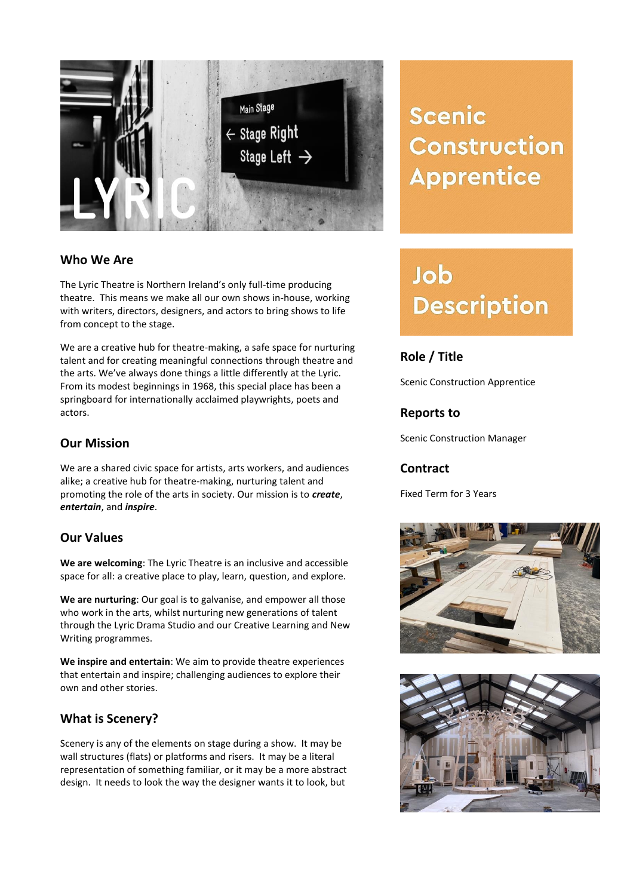

## **Who We Are**

The Lyric Theatre is Northern Ireland's only full-time producing theatre. This means we make all our own shows in-house, working with writers, directors, designers, and actors to bring shows to life from concept to the stage.

We are a creative hub for theatre-making, a safe space for nurturing talent and for creating meaningful connections through theatre and the arts. We've always done things a little differently at the Lyric. From its modest beginnings in 1968, this special place has been a springboard for internationally acclaimed playwrights, poets and actors.

## **Our Mission**

We are a shared civic space for artists, arts workers, and audiences alike; a creative hub for theatre-making, nurturing talent and promoting the role of the arts in society. Our mission is to *create*, *entertain*, and *inspire*.

#### **Our Values**

**We are welcoming**: The Lyric Theatre is an inclusive and accessible space for all: a creative place to play, learn, question, and explore.

**We are nurturing**: Our goal is to galvanise, and empower all those who work in the arts, whilst nurturing new generations of talent through the Lyric Drama Studio and our Creative Learning and New Writing programmes.

**We inspire and entertain**: We aim to provide theatre experiences that entertain and inspire; challenging audiences to explore their own and other stories.

# **What is Scenery?**

Scenery is any of the elements on stage during a show. It may be wall structures (flats) or platforms and risers. It may be a literal representation of something familiar, or it may be a more abstract design. It needs to look the way the designer wants it to look, but

**Scenic Construction Apprentice** 

# Job **Description**

# **Role / Title**

Scenic Construction Apprentice

## **Reports to**

Scenic Construction Manager

#### **Contract**

Fixed Term for 3 Years



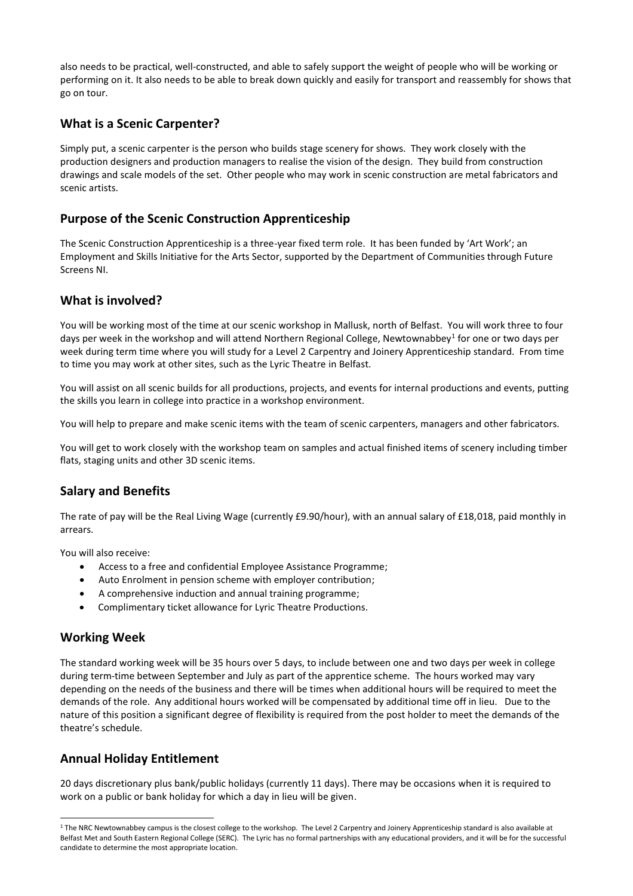also needs to be practical, well-constructed, and able to safely support the weight of people who will be working or performing on it. It also needs to be able to break down quickly and easily for transport and reassembly for shows that go on tour.

# **What is a Scenic Carpenter?**

Simply put, a scenic carpenter is the person who builds stage scenery for shows. They work closely with the production designers and production managers to realise the vision of the design. They build from construction drawings and scale models of the set. Other people who may work in scenic construction are metal fabricators and scenic artists.

## **Purpose of the Scenic Construction Apprenticeship**

The Scenic Construction Apprenticeship is a three-year fixed term role. It has been funded by 'Art Work'; an Employment and Skills Initiative for the Arts Sector, supported by the Department of Communities through Future Screens NI.

#### **What is involved?**

You will be working most of the time at our scenic workshop in Mallusk, north of Belfast. You will work three to four days per week in the workshop and will attend Northern Regional College, Newtownabbey<sup>1</sup> for one or two days per week during term time where you will study for a Level 2 Carpentry and Joinery Apprenticeship standard. From time to time you may work at other sites, such as the Lyric Theatre in Belfast.

You will assist on all scenic builds for all productions, projects, and events for internal productions and events, putting the skills you learn in college into practice in a workshop environment.

You will help to prepare and make scenic items with the team of scenic carpenters, managers and other fabricators.

You will get to work closely with the workshop team on samples and actual finished items of scenery including timber flats, staging units and other 3D scenic items.

# **Salary and Benefits**

The rate of pay will be the Real Living Wage (currently £9.90/hour), with an annual salary of £18,018, paid monthly in arrears.

You will also receive:

- Access to a free and confidential Employee Assistance Programme;
- Auto Enrolment in pension scheme with employer contribution;
- A comprehensive induction and annual training programme;
- Complimentary ticket allowance for Lyric Theatre Productions.

#### **Working Week**

 $\overline{a}$ 

The standard working week will be 35 hours over 5 days, to include between one and two days per week in college during term-time between September and July as part of the apprentice scheme. The hours worked may vary depending on the needs of the business and there will be times when additional hours will be required to meet the demands of the role. Any additional hours worked will be compensated by additional time off in lieu. Due to the nature of this position a significant degree of flexibility is required from the post holder to meet the demands of the theatre's schedule.

# **Annual Holiday Entitlement**

20 days discretionary plus bank/public holidays (currently 11 days). There may be occasions when it is required to work on a public or bank holiday for which a day in lieu will be given.

<sup>&</sup>lt;sup>1</sup> The NRC Newtownabbey campus is the closest college to the workshop. The Level 2 Carpentry and Joinery Apprenticeship standard is also available at Belfast Met and South Eastern Regional College (SERC). The Lyric has no formal partnerships with any educational providers, and it will be for the successful candidate to determine the most appropriate location.